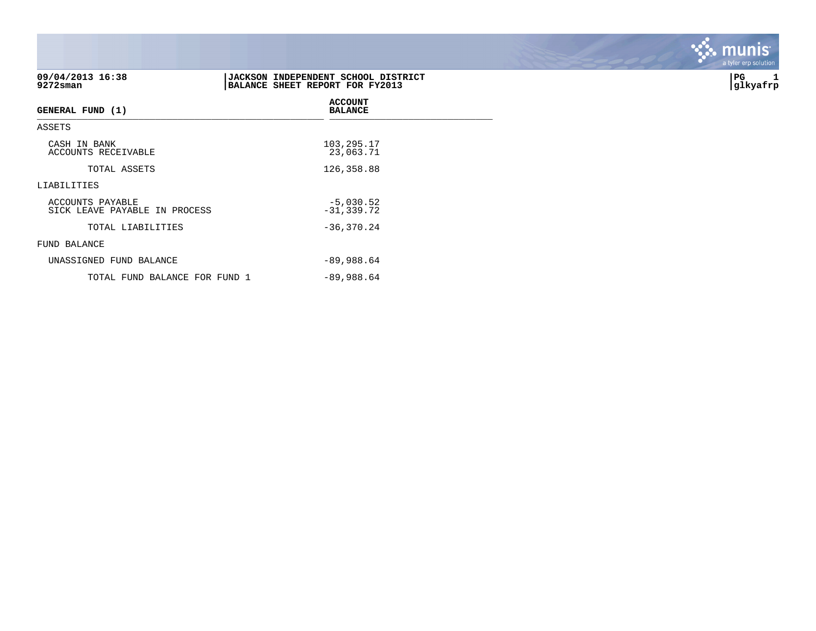| 09/04/2013 16:38<br>9272sman                      | <b>JACKSON INDEPENDENT SCHOOL DISTRICT</b><br>BALANCE SHEET REPORT FOR FY2013 | PG<br>1<br> glkyafrp |
|---------------------------------------------------|-------------------------------------------------------------------------------|----------------------|
| GENERAL FUND (1)                                  | <b>ACCOUNT</b><br><b>BALANCE</b>                                              |                      |
| ASSETS                                            |                                                                               |                      |
| CASH IN BANK<br>ACCOUNTS RECEIVABLE               | 103,295.17<br>23,063.71                                                       |                      |
| TOTAL ASSETS                                      | 126,358.88                                                                    |                      |
| LIABILITIES                                       |                                                                               |                      |
| ACCOUNTS PAYABLE<br>SICK LEAVE PAYABLE IN PROCESS | $-5,030.52$<br>$-31, 339.72$                                                  |                      |
| TOTAL LIABILITIES                                 | $-36, 370.24$                                                                 |                      |
| FUND BALANCE                                      |                                                                               |                      |
| UNASSIGNED FUND BALANCE                           | $-89,988.64$                                                                  |                      |
| TOTAL FUND BALANCE FOR FUND 1                     | $-89,988.64$                                                                  |                      |

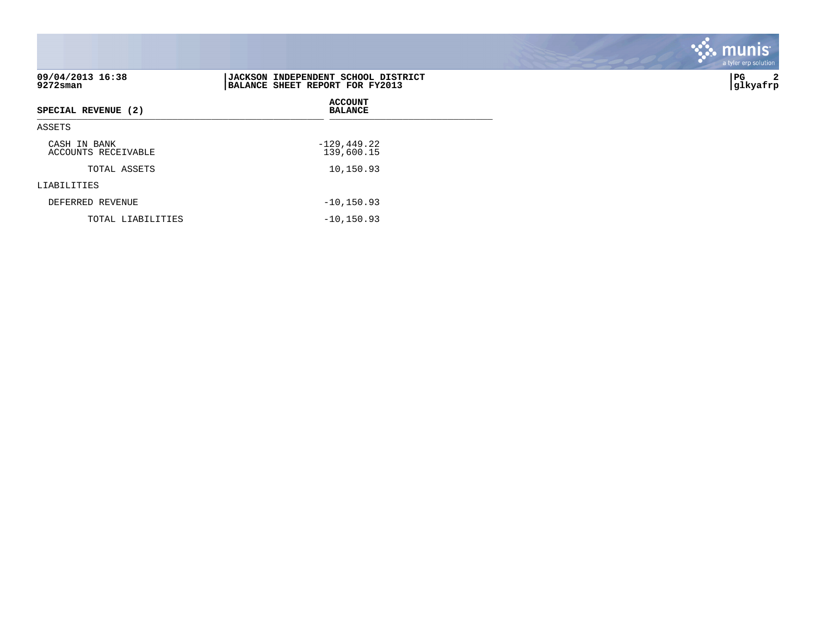| 09/04/2013 16:38<br>$9272$ sman     | <b>JACKSON INDEPENDENT SCHOOL DISTRICT</b><br>BALANCE SHEET REPORT FOR FY2013 | PG  <br> glkyafrp |
|-------------------------------------|-------------------------------------------------------------------------------|-------------------|
| SPECIAL REVENUE (2)                 | <b>ACCOUNT</b><br><b>BALANCE</b>                                              |                   |
| ASSETS                              |                                                                               |                   |
| CASH IN BANK<br>ACCOUNTS RECEIVABLE | $-129, 449.22$<br>139,600.15                                                  |                   |
| TOTAL ASSETS                        | 10,150.93                                                                     |                   |
| LIABILITIES                         |                                                                               |                   |
| DEFERRED REVENUE                    | $-10, 150.93$                                                                 |                   |
| TOTAL LIABILITIES                   | $-10, 150.93$                                                                 |                   |

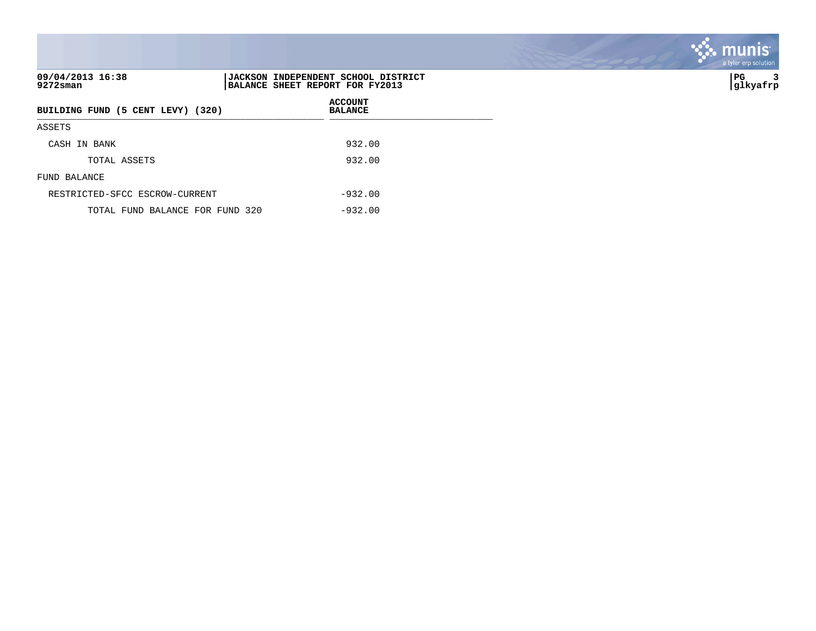| 09/04/2013 16:38<br>9272sman      | JACKSON INDEPENDENT SCHOOL DISTRICT<br>BALANCE SHEET REPORT FOR FY2013 |
|-----------------------------------|------------------------------------------------------------------------|
| BUILDING FUND (5 CENT LEVY) (320) | <b>ACCOUNT</b><br><b>BALANCE</b>                                       |
| ASSETS                            |                                                                        |
| CASH IN BANK                      | 932.00                                                                 |
| TOTAL ASSETS                      | 932.00                                                                 |
| FUND BALANCE                      |                                                                        |
| RESTRICTED-SFCC ESCROW-CURRENT    | $-932.00$                                                              |
| TOTAL FUND BALANCE FOR FUND 320   | $-932.00$                                                              |

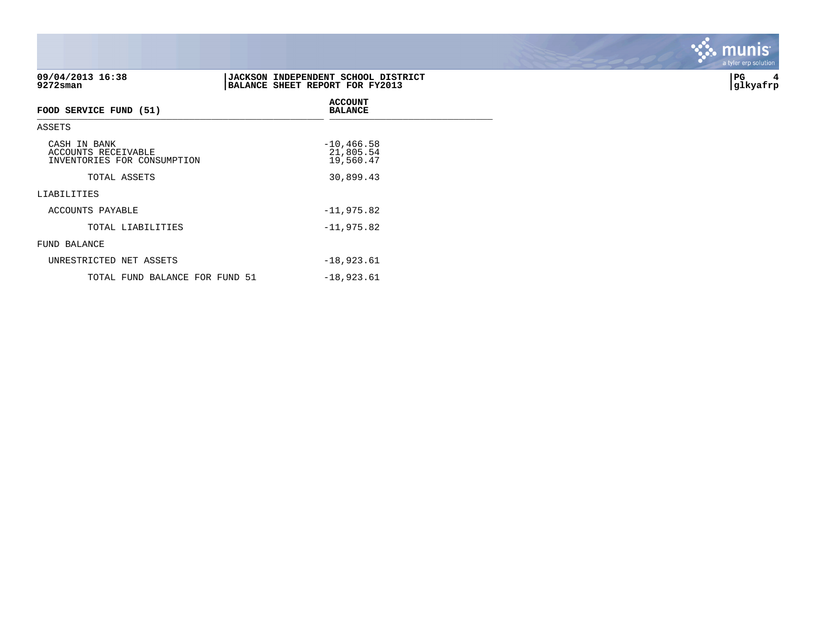| 09/04/2013 16:38<br>9272sman                                       | JACKSON INDEPENDENT SCHOOL DISTRICT<br>BALANCE SHEET REPORT FOR FY2013 | PG<br> glkyafrp |
|--------------------------------------------------------------------|------------------------------------------------------------------------|-----------------|
| FOOD SERVICE FUND (51)                                             | <b>ACCOUNT</b><br><b>BALANCE</b>                                       |                 |
| ASSETS                                                             |                                                                        |                 |
| CASH IN BANK<br>ACCOUNTS RECEIVABLE<br>INVENTORIES FOR CONSUMPTION | $-10, 466.58$<br>21,805.54<br>19,560.47                                |                 |
| TOTAL ASSETS                                                       | 30,899.43                                                              |                 |
| LIABILITIES                                                        |                                                                        |                 |
| ACCOUNTS PAYABLE                                                   | $-11,975.82$                                                           |                 |
| TOTAL LIABILITIES                                                  | $-11,975.82$                                                           |                 |
| FUND BALANCE                                                       |                                                                        |                 |
| UNRESTRICTED NET ASSETS                                            | $-18,923.61$                                                           |                 |
| TOTAL FUND BALANCE FOR FUND 51                                     | $-18,923.61$                                                           |                 |

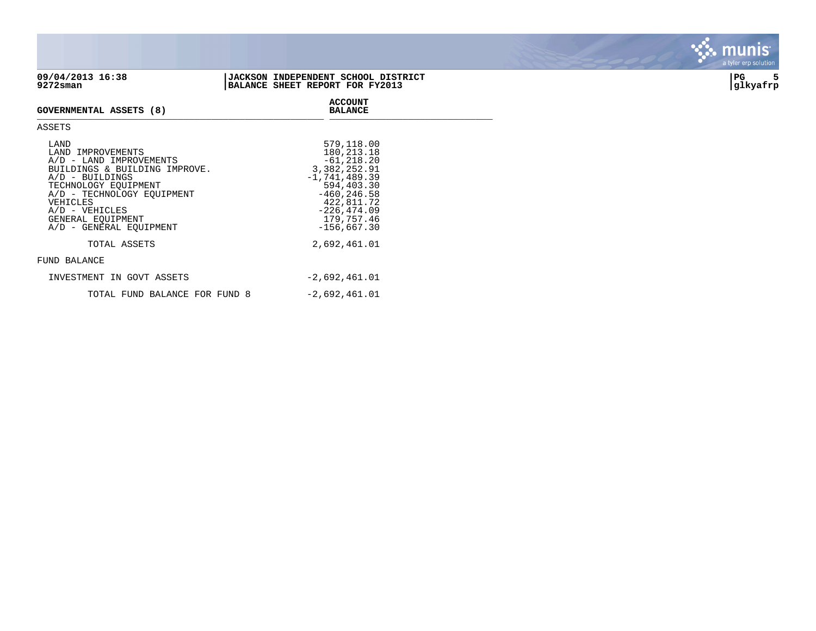

| LAND<br>LAND IMPROVEMENTS<br>A/D - LAND IMPROVEMENTS<br>BUILDINGS & BUILDING IMPROVE.<br>$A/D$ - BUILDINGS<br>TECHNOLOGY EOUIPMENT<br>A/D - TECHNOLOGY EQUIPMENT<br>VEHICLES<br>$A/D - VEHICLES$<br>GENERAL EOUIPMENT<br>A/D - GENERAL EOUIPMENT | 579,118.00<br>180, 213. 18<br>$-61, 218.20$<br>3,382,252.91<br>$-1,741,489.39$<br>594,403.30<br>$-460.246.58$<br>422,811.72<br>$-226, 474.09$<br>179,757.46<br>$-156,667.30$ |
|--------------------------------------------------------------------------------------------------------------------------------------------------------------------------------------------------------------------------------------------------|------------------------------------------------------------------------------------------------------------------------------------------------------------------------------|
| TOTAL ASSETS                                                                                                                                                                                                                                     | 2,692,461.01                                                                                                                                                                 |
| FUND BALANCE                                                                                                                                                                                                                                     |                                                                                                                                                                              |
| INVESTMENT IN GOVT ASSETS                                                                                                                                                                                                                        | $-2,692,461.01$                                                                                                                                                              |
| TOTAL FUND BALANCE FOR FUND 8                                                                                                                                                                                                                    | $-2,692,461.01$                                                                                                                                                              |



. munis<sup>.</sup>

 $\mathcal{L}(\mathcal{S})$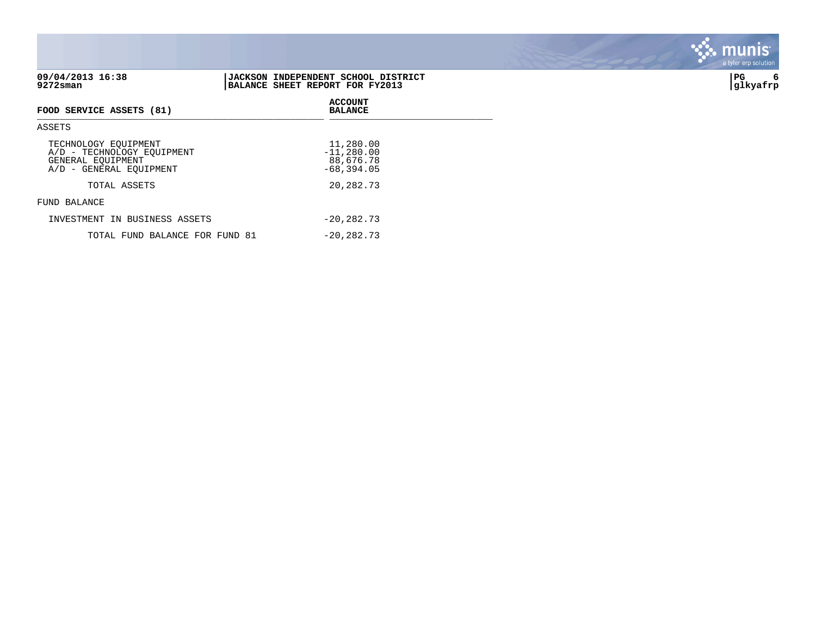|                                                                                                    |                                                                                | - - <i>,</i> . - . - |
|----------------------------------------------------------------------------------------------------|--------------------------------------------------------------------------------|----------------------|
| 09/04/2013 16:38<br>9272sman                                                                       | <b> JACKSON INDEPENDENT SCHOOL DISTRICT</b><br>BALANCE SHEET REPORT FOR FY2013 | PG<br>6<br> glkyafrp |
| FOOD SERVICE ASSETS (81)                                                                           | <b>ACCOUNT</b><br><b>BALANCE</b>                                               |                      |
| ASSETS                                                                                             |                                                                                |                      |
| TECHNOLOGY EQUIPMENT<br>A/D - TECHNOLOGY EQUIPMENT<br>GENERAL EQUIPMENT<br>A/D - GENERAL EOUIPMENT | 11,280.00<br>$-11,280.00$<br>88,676.78<br>$-68, 394.05$                        |                      |
| TOTAL ASSETS                                                                                       | 20,282.73                                                                      |                      |
| FUND BALANCE                                                                                       |                                                                                |                      |
| INVESTMENT IN BUSINESS ASSETS                                                                      | $-20, 282, 73$                                                                 |                      |
| TOTAL FUND BALANCE FOR FUND 81                                                                     | $-20, 282, 73$                                                                 |                      |